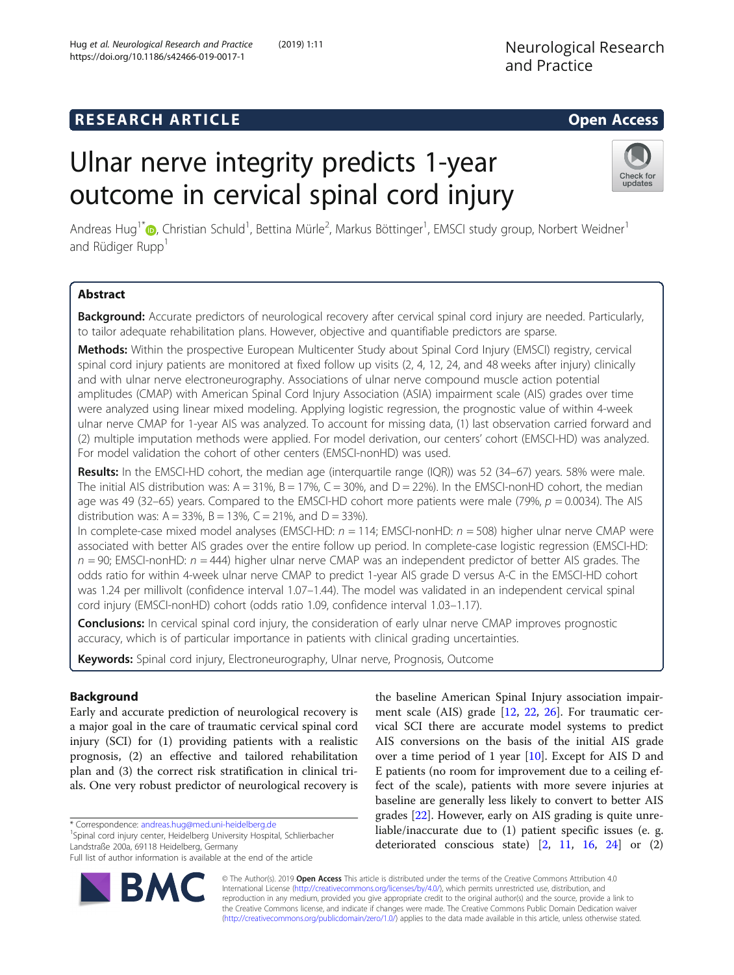# **RESEARCH ARTICLE Example 2014 The SEAR CH ACCESS**

# Ulnar nerve integrity predicts 1-year outcome in cervical spinal cord injury

Andreas Hug<sup>1\*</sup>®[,](http://orcid.org/0000-0002-7764-1813) Christian Schuld<sup>1</sup>, Bettina Mürle<sup>2</sup>, Markus Böttinger<sup>1</sup>, EMSCI study group, Norbert Weidner<sup>1</sup> and Rüdiger Rupp<sup>1</sup>

# Abstract

Background: Accurate predictors of neurological recovery after cervical spinal cord injury are needed. Particularly, to tailor adequate rehabilitation plans. However, objective and quantifiable predictors are sparse.

Methods: Within the prospective European Multicenter Study about Spinal Cord Injury (EMSCI) registry, cervical spinal cord injury patients are monitored at fixed follow up visits (2, 4, 12, 24, and 48 weeks after injury) clinically and with ulnar nerve electroneurography. Associations of ulnar nerve compound muscle action potential amplitudes (CMAP) with American Spinal Cord Injury Association (ASIA) impairment scale (AIS) grades over time were analyzed using linear mixed modeling. Applying logistic regression, the prognostic value of within 4-week ulnar nerve CMAP for 1-year AIS was analyzed. To account for missing data, (1) last observation carried forward and (2) multiple imputation methods were applied. For model derivation, our centers' cohort (EMSCI-HD) was analyzed. For model validation the cohort of other centers (EMSCI-nonHD) was used.

Results: In the EMSCI-HD cohort, the median age (interquartile range (IQR)) was 52 (34–67) years. 58% were male. The initial AIS distribution was:  $A = 31\%$ ,  $B = 17\%$ ,  $C = 30\%$ , and  $D = 22\%$ ). In the EMSCI-nonHD cohort, the median age was 49 (32–65) years. Compared to the EMSCI-HD cohort more patients were male (79%,  $p = 0.0034$ ). The AIS distribution was:  $A = 33\%$ ,  $B = 13\%$ ,  $C = 21\%$ , and  $D = 33\%$ ).

In complete-case mixed model analyses (EMSCI-HD:  $n = 114$ ; EMSCI-nonHD:  $n = 508$ ) higher ulnar nerve CMAP were associated with better AIS grades over the entire follow up period. In complete-case logistic regression (EMSCI-HD:  $n = 90$ ; EMSCI-nonHD:  $n = 444$ ) higher ulnar nerve CMAP was an independent predictor of better AIS grades. The odds ratio for within 4-week ulnar nerve CMAP to predict 1-year AIS grade D versus A-C in the EMSCI-HD cohort was 1.24 per millivolt (confidence interval 1.07–1.44). The model was validated in an independent cervical spinal cord injury (EMSCI-nonHD) cohort (odds ratio 1.09, confidence interval 1.03–1.17).

**Conclusions:** In cervical spinal cord injury, the consideration of early ulnar nerve CMAP improves prognostic accuracy, which is of particular importance in patients with clinical grading uncertainties.

Keywords: Spinal cord injury, Electroneurography, Ulnar nerve, Prognosis, Outcome

# Background

Early and accurate prediction of neurological recovery is a major goal in the care of traumatic cervical spinal cord injury (SCI) for (1) providing patients with a realistic prognosis, (2) an effective and tailored rehabilitation plan and (3) the correct risk stratification in clinical trials. One very robust predictor of neurological recovery is

\* Correspondence: [andreas.hug@med.uni-heidelberg.de](mailto:andreas.hug@med.uni-heidelberg.de) <sup>1</sup>

<sup>1</sup>Spinal cord injury center, Heidelberg University Hospital, Schlierbacher Landstraße 200a, 69118 Heidelberg, Germany

© The Author(s). 2019 Open Access This article is distributed under the terms of the Creative Commons Attribution 4.0 International License [\(http://creativecommons.org/licenses/by/4.0/](http://creativecommons.org/licenses/by/4.0/)), which permits unrestricted use, distribution, and reproduction in any medium, provided you give appropriate credit to the original author(s) and the source, provide a link to the Creative Commons license, and indicate if changes were made. The Creative Commons Public Domain Dedication waiver [\(http://creativecommons.org/publicdomain/zero/1.0/](http://creativecommons.org/publicdomain/zero/1.0/)) applies to the data made available in this article, unless otherwise stated.

ment scale (AIS) grade [\[12](#page-7-0), [22](#page-7-0), [26\]](#page-7-0). For traumatic cervical SCI there are accurate model systems to predict AIS conversions on the basis of the initial AIS grade over a time period of 1 year [\[10\]](#page-7-0). Except for AIS D and E patients (no room for improvement due to a ceiling effect of the scale), patients with more severe injuries at baseline are generally less likely to convert to better AIS grades [[22\]](#page-7-0). However, early on AIS grading is quite unreliable/inaccurate due to (1) patient specific issues (e. g. deteriorated conscious state)  $[2, 11, 16, 24]$  $[2, 11, 16, 24]$  $[2, 11, 16, 24]$  $[2, 11, 16, 24]$  $[2, 11, 16, 24]$  $[2, 11, 16, 24]$  $[2, 11, 16, 24]$  $[2, 11, 16, 24]$  or  $(2)$ 

the baseline American Spinal Injury association impair-





Full list of author information is available at the end of the article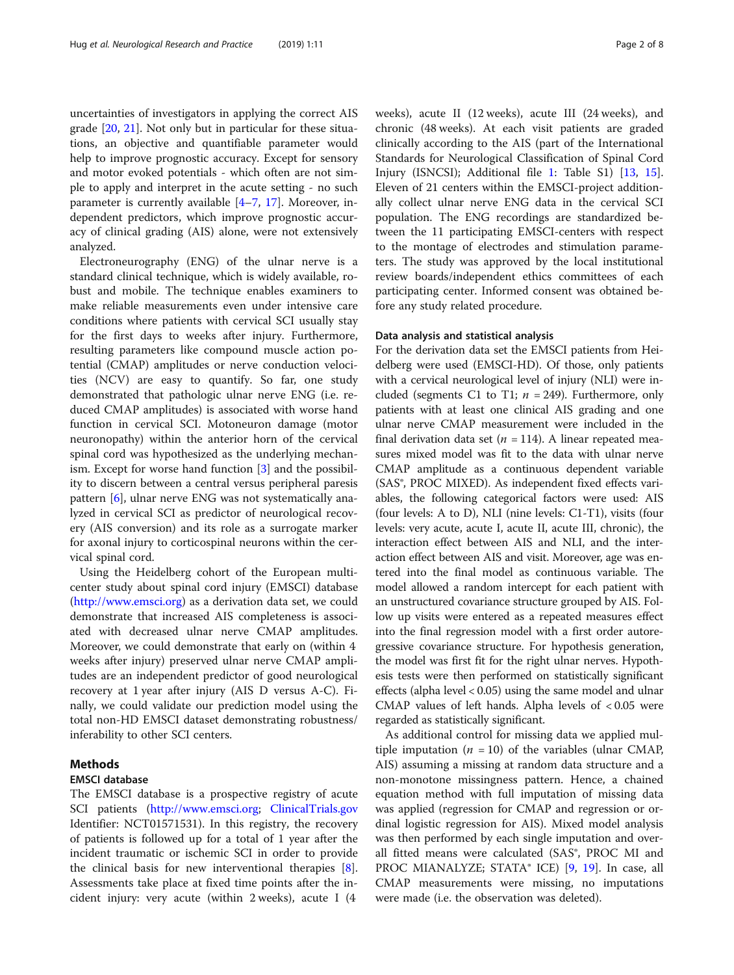uncertainties of investigators in applying the correct AIS grade [\[20](#page-7-0), [21](#page-7-0)]. Not only but in particular for these situations, an objective and quantifiable parameter would help to improve prognostic accuracy. Except for sensory and motor evoked potentials - which often are not simple to apply and interpret in the acute setting - no such parameter is currently available  $[4-7, 17]$  $[4-7, 17]$  $[4-7, 17]$  $[4-7, 17]$  $[4-7, 17]$  $[4-7, 17]$  $[4-7, 17]$ . Moreover, independent predictors, which improve prognostic accuracy of clinical grading (AIS) alone, were not extensively analyzed.

Electroneurography (ENG) of the ulnar nerve is a standard clinical technique, which is widely available, robust and mobile. The technique enables examiners to make reliable measurements even under intensive care conditions where patients with cervical SCI usually stay for the first days to weeks after injury. Furthermore, resulting parameters like compound muscle action potential (CMAP) amplitudes or nerve conduction velocities (NCV) are easy to quantify. So far, one study demonstrated that pathologic ulnar nerve ENG (i.e. reduced CMAP amplitudes) is associated with worse hand function in cervical SCI. Motoneuron damage (motor neuronopathy) within the anterior horn of the cervical spinal cord was hypothesized as the underlying mechanism. Except for worse hand function [[3](#page-7-0)] and the possibility to discern between a central versus peripheral paresis pattern [\[6](#page-7-0)], ulnar nerve ENG was not systematically analyzed in cervical SCI as predictor of neurological recovery (AIS conversion) and its role as a surrogate marker for axonal injury to corticospinal neurons within the cervical spinal cord.

Using the Heidelberg cohort of the European multicenter study about spinal cord injury (EMSCI) database ([http://www.emsci.org\)](http://www.emsci.org) as a derivation data set, we could demonstrate that increased AIS completeness is associated with decreased ulnar nerve CMAP amplitudes. Moreover, we could demonstrate that early on (within 4 weeks after injury) preserved ulnar nerve CMAP amplitudes are an independent predictor of good neurological recovery at 1 year after injury (AIS D versus A-C). Finally, we could validate our prediction model using the total non-HD EMSCI dataset demonstrating robustness/ inferability to other SCI centers.

## Methods

# EMSCI database

The EMSCI database is a prospective registry of acute SCI patients ([http://www.emsci.org;](http://www.emsci.org) [ClinicalTrials.gov](http://clinicaltrials.gov) Identifier: NCT01571531). In this registry, the recovery of patients is followed up for a total of 1 year after the incident traumatic or ischemic SCI in order to provide the clinical basis for new interventional therapies [\[8](#page-7-0)]. Assessments take place at fixed time points after the incident injury: very acute (within 2 weeks), acute I (4

weeks), acute II (12 weeks), acute III (24 weeks), and chronic (48 weeks). At each visit patients are graded clinically according to the AIS (part of the International Standards for Neurological Classification of Spinal Cord Injury (ISNCSI); Additional file [1:](#page-6-0) Table S1) [\[13](#page-7-0), [15](#page-7-0)]. Eleven of 21 centers within the EMSCI-project additionally collect ulnar nerve ENG data in the cervical SCI population. The ENG recordings are standardized between the 11 participating EMSCI-centers with respect to the montage of electrodes and stimulation parameters. The study was approved by the local institutional review boards/independent ethics committees of each participating center. Informed consent was obtained before any study related procedure.

## Data analysis and statistical analysis

For the derivation data set the EMSCI patients from Heidelberg were used (EMSCI-HD). Of those, only patients with a cervical neurological level of injury (NLI) were included (segments C1 to T1;  $n = 249$ ). Furthermore, only patients with at least one clinical AIS grading and one ulnar nerve CMAP measurement were included in the final derivation data set ( $n = 114$ ). A linear repeated measures mixed model was fit to the data with ulnar nerve CMAP amplitude as a continuous dependent variable (SAS®, PROC MIXED). As independent fixed effects variables, the following categorical factors were used: AIS (four levels: A to D), NLI (nine levels: C1-T1), visits (four levels: very acute, acute I, acute II, acute III, chronic), the interaction effect between AIS and NLI, and the interaction effect between AIS and visit. Moreover, age was entered into the final model as continuous variable. The model allowed a random intercept for each patient with an unstructured covariance structure grouped by AIS. Follow up visits were entered as a repeated measures effect into the final regression model with a first order autoregressive covariance structure. For hypothesis generation, the model was first fit for the right ulnar nerves. Hypothesis tests were then performed on statistically significant effects (alpha level < 0.05) using the same model and ulnar CMAP values of left hands. Alpha levels of < 0.05 were regarded as statistically significant.

As additional control for missing data we applied multiple imputation ( $n = 10$ ) of the variables (ulnar CMAP, AIS) assuming a missing at random data structure and a non-monotone missingness pattern. Hence, a chained equation method with full imputation of missing data was applied (regression for CMAP and regression or ordinal logistic regression for AIS). Mixed model analysis was then performed by each single imputation and overall fitted means were calculated (SAS®, PROC MI and PROC MIANALYZE; STATA® ICE) [[9](#page-7-0), [19\]](#page-7-0). In case, all CMAP measurements were missing, no imputations were made (i.e. the observation was deleted).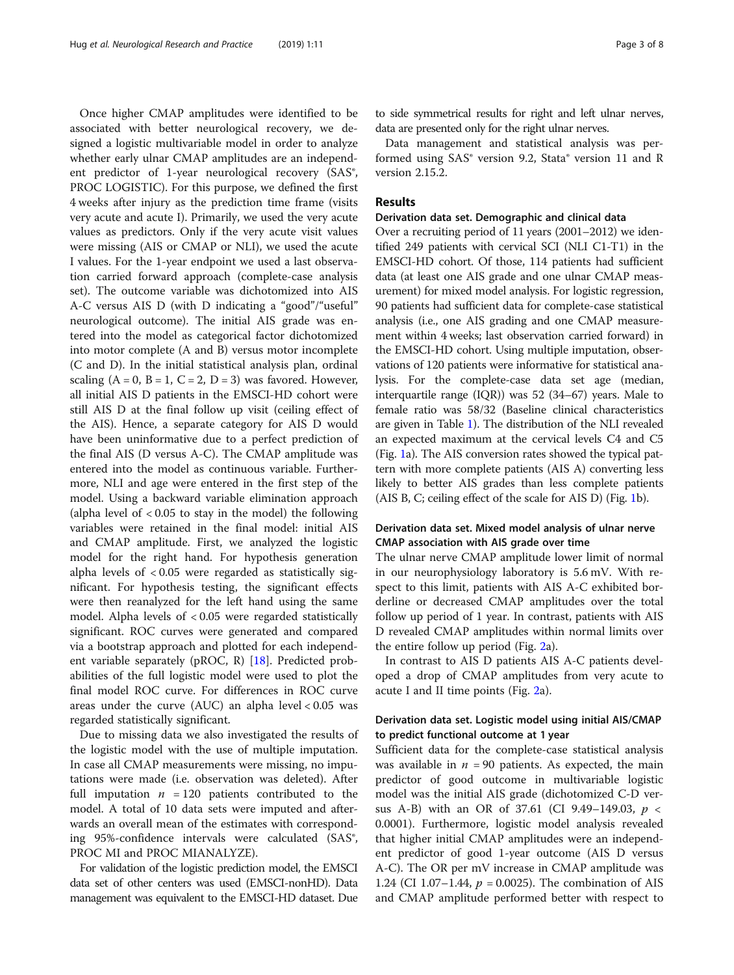Once higher CMAP amplitudes were identified to be associated with better neurological recovery, we designed a logistic multivariable model in order to analyze whether early ulnar CMAP amplitudes are an independent predictor of 1-year neurological recovery (SAS®, PROC LOGISTIC). For this purpose, we defined the first 4 weeks after injury as the prediction time frame (visits very acute and acute I). Primarily, we used the very acute values as predictors. Only if the very acute visit values were missing (AIS or CMAP or NLI), we used the acute I values. For the 1-year endpoint we used a last observation carried forward approach (complete-case analysis set). The outcome variable was dichotomized into AIS A-C versus AIS D (with D indicating a "good"/"useful" neurological outcome). The initial AIS grade was entered into the model as categorical factor dichotomized into motor complete (A and B) versus motor incomplete (C and D). In the initial statistical analysis plan, ordinal scaling  $(A = 0, B = 1, C = 2, D = 3)$  was favored. However, all initial AIS D patients in the EMSCI-HD cohort were still AIS D at the final follow up visit (ceiling effect of the AIS). Hence, a separate category for AIS D would have been uninformative due to a perfect prediction of the final AIS (D versus A-C). The CMAP amplitude was entered into the model as continuous variable. Furthermore, NLI and age were entered in the first step of the model. Using a backward variable elimination approach (alpha level of  $< 0.05$  to stay in the model) the following variables were retained in the final model: initial AIS and CMAP amplitude. First, we analyzed the logistic model for the right hand. For hypothesis generation alpha levels of < 0.05 were regarded as statistically significant. For hypothesis testing, the significant effects were then reanalyzed for the left hand using the same model. Alpha levels of < 0.05 were regarded statistically significant. ROC curves were generated and compared via a bootstrap approach and plotted for each independ-ent variable separately (pROC, R) [[18\]](#page-7-0). Predicted probabilities of the full logistic model were used to plot the final model ROC curve. For differences in ROC curve areas under the curve (AUC) an alpha level  $< 0.05$  was regarded statistically significant.

Due to missing data we also investigated the results of the logistic model with the use of multiple imputation. In case all CMAP measurements were missing, no imputations were made (i.e. observation was deleted). After full imputation  $n = 120$  patients contributed to the model. A total of 10 data sets were imputed and afterwards an overall mean of the estimates with corresponding 95%-confidence intervals were calculated (SAS®, PROC MI and PROC MIANALYZE).

For validation of the logistic prediction model, the EMSCI data set of other centers was used (EMSCI-nonHD). Data management was equivalent to the EMSCI-HD dataset. Due to side symmetrical results for right and left ulnar nerves, data are presented only for the right ulnar nerves.

Data management and statistical analysis was performed using SAS® version 9.2, Stata® version 11 and R version 2.15.2.

# Results

### Derivation data set. Demographic and clinical data

Over a recruiting period of 11 years (2001–2012) we identified 249 patients with cervical SCI (NLI C1-T1) in the EMSCI-HD cohort. Of those, 114 patients had sufficient data (at least one AIS grade and one ulnar CMAP measurement) for mixed model analysis. For logistic regression, 90 patients had sufficient data for complete-case statistical analysis (i.e., one AIS grading and one CMAP measurement within 4 weeks; last observation carried forward) in the EMSCI-HD cohort. Using multiple imputation, observations of 120 patients were informative for statistical analysis. For the complete-case data set age (median, interquartile range (IQR)) was 52 (34–67) years. Male to female ratio was 58/32 (Baseline clinical characteristics are given in Table [1\)](#page-3-0). The distribution of the NLI revealed an expected maximum at the cervical levels C4 and C5 (Fig. [1](#page-3-0)a). The AIS conversion rates showed the typical pattern with more complete patients (AIS A) converting less likely to better AIS grades than less complete patients (AIS B, C; ceiling effect of the scale for AIS D) (Fig. [1b](#page-3-0)).

# Derivation data set. Mixed model analysis of ulnar nerve CMAP association with AIS grade over time

The ulnar nerve CMAP amplitude lower limit of normal in our neurophysiology laboratory is 5.6 mV. With respect to this limit, patients with AIS A-C exhibited borderline or decreased CMAP amplitudes over the total follow up period of 1 year. In contrast, patients with AIS D revealed CMAP amplitudes within normal limits over the entire follow up period (Fig. [2](#page-4-0)a).

In contrast to AIS D patients AIS A-C patients developed a drop of CMAP amplitudes from very acute to acute I and II time points (Fig. [2](#page-4-0)a).

# Derivation data set. Logistic model using initial AIS/CMAP to predict functional outcome at 1 year

Sufficient data for the complete-case statistical analysis was available in  $n = 90$  patients. As expected, the main predictor of good outcome in multivariable logistic model was the initial AIS grade (dichotomized C-D versus A-B) with an OR of 37.61 (CI 9.49–149.03,  $p \lt \frac{1}{2}$ 0.0001). Furthermore, logistic model analysis revealed that higher initial CMAP amplitudes were an independent predictor of good 1-year outcome (AIS D versus A-C). The OR per mV increase in CMAP amplitude was 1.24 (CI 1.07–1.44,  $p = 0.0025$ ). The combination of AIS and CMAP amplitude performed better with respect to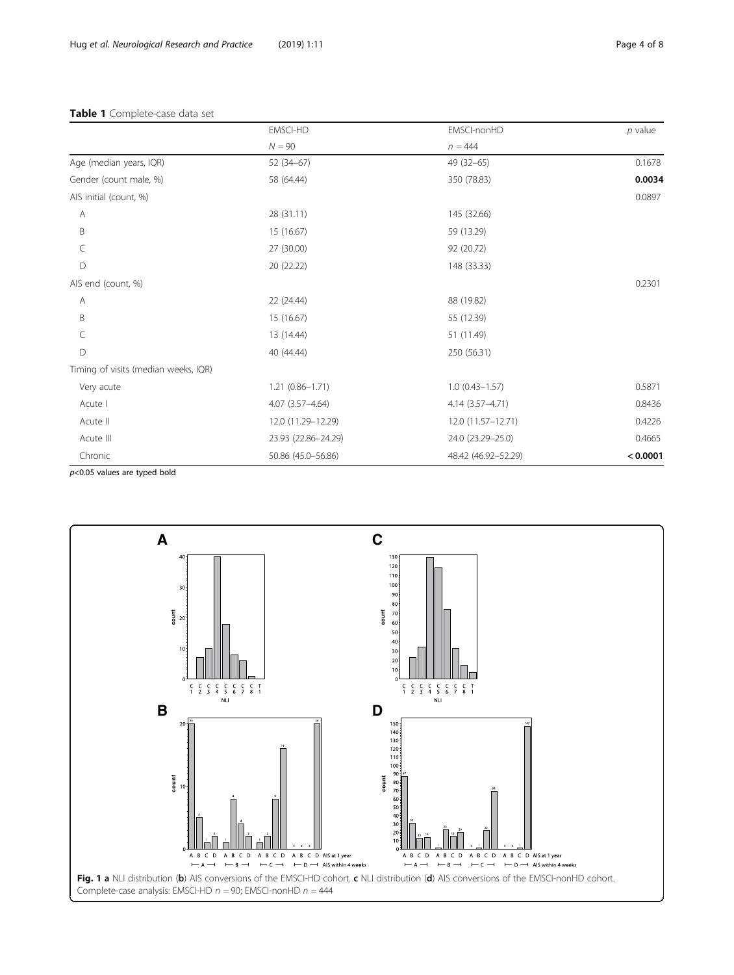# <span id="page-3-0"></span>Table 1 Complete-case data set

|                                      | <b>EMSCI-HD</b><br>$N = 90$ | EMSCI-nonHD<br>$n = 444$ | $p$ value |
|--------------------------------------|-----------------------------|--------------------------|-----------|
|                                      |                             |                          |           |
| Age (median years, IQR)              | $52(34-67)$                 | $49(32-65)$              | 0.1678    |
| Gender (count male, %)               | 58 (64.44)                  | 350 (78.83)              | 0.0034    |
| AIS initial (count, %)               |                             |                          | 0.0897    |
| Α                                    | 28 (31.11)                  | 145 (32.66)              |           |
| B                                    | 15 (16.67)                  | 59 (13.29)               |           |
| C                                    | 27 (30.00)                  | 92 (20.72)               |           |
| D                                    | 20 (22.22)                  | 148 (33.33)              |           |
| AIS end (count, %)                   |                             |                          | 0.2301    |
| Α                                    | 22 (24.44)                  | 88 (19.82)               |           |
| B                                    | 15 (16.67)                  | 55 (12.39)               |           |
| C                                    | 13 (14.44)                  | 51 (11.49)               |           |
| D                                    | 40 (44.44)                  | 250 (56.31)              |           |
| Timing of visits (median weeks, IQR) |                             |                          |           |
| Very acute                           | $1.21(0.86 - 1.71)$         | $1.0(0.43 - 1.57)$       | 0.5871    |
| Acute I                              | $4.07(3.57 - 4.64)$         | 4.14 (3.57-4.71)         | 0.8436    |
| Acute II                             | 12.0 (11.29-12.29)          | 12.0 (11.57-12.71)       | 0.4226    |
| Acute III                            | 23.93 (22.86-24.29)         | 24.0 (23.29 - 25.0)      | 0.4665    |
| Chronic                              | 50.86 (45.0-56.86)          | 48.42 (46.92-52.29)      | < 0.0001  |

 $p$ <0.05 values are typed bold

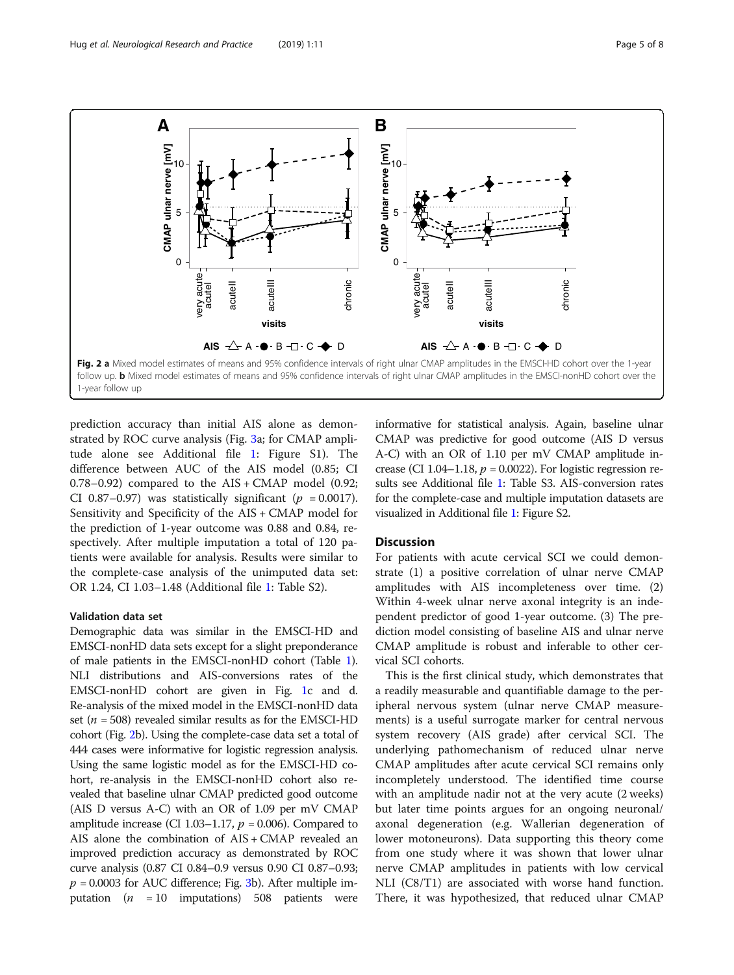<span id="page-4-0"></span>

prediction accuracy than initial AIS alone as demonstrated by ROC curve analysis (Fig. [3a](#page-5-0); for CMAP amplitude alone see Additional file [1](#page-6-0): Figure S1). The difference between AUC of the AIS model (0.85; CI 0.78–0.92) compared to the  $AIS + CMAP$  model (0.92; CI 0.87–0.97) was statistically significant ( $p = 0.0017$ ). Sensitivity and Specificity of the AIS + CMAP model for the prediction of 1-year outcome was 0.88 and 0.84, respectively. After multiple imputation a total of 120 patients were available for analysis. Results were similar to the complete-case analysis of the unimputed data set: OR 1.24, CI 1.03–1.48 (Additional file [1](#page-6-0): Table S2).

#### Validation data set

Demographic data was similar in the EMSCI-HD and EMSCI-nonHD data sets except for a slight preponderance of male patients in the EMSCI-nonHD cohort (Table [1](#page-3-0)). NLI distributions and AIS-conversions rates of the EMSCI-nonHD cohort are given in Fig. [1](#page-3-0)c and d. Re-analysis of the mixed model in the EMSCI-nonHD data set ( $n = 508$ ) revealed similar results as for the EMSCI-HD cohort (Fig. 2b). Using the complete-case data set a total of 444 cases were informative for logistic regression analysis. Using the same logistic model as for the EMSCI-HD cohort, re-analysis in the EMSCI-nonHD cohort also revealed that baseline ulnar CMAP predicted good outcome (AIS D versus A-C) with an OR of 1.09 per mV CMAP amplitude increase (CI 1.03–1.17,  $p = 0.006$ ). Compared to AIS alone the combination of AIS + CMAP revealed an improved prediction accuracy as demonstrated by ROC curve analysis (0.87 CI 0.84–0.9 versus 0.90 CI 0.87–0.93;  $p = 0.0003$  $p = 0.0003$  for AUC difference; Fig. 3b). After multiple imputation ( $n = 10$  imputations) 508 patients were

informative for statistical analysis. Again, baseline ulnar CMAP was predictive for good outcome (AIS D versus A-C) with an OR of 1.10 per mV CMAP amplitude increase (CI 1.04–1.18,  $p = 0.0022$ ). For logistic regression results see Additional file [1](#page-6-0): Table S3. AIS-conversion rates for the complete-case and multiple imputation datasets are visualized in Additional file [1](#page-6-0): Figure S2.

#### **Discussion**

For patients with acute cervical SCI we could demonstrate (1) a positive correlation of ulnar nerve CMAP amplitudes with AIS incompleteness over time. (2) Within 4-week ulnar nerve axonal integrity is an independent predictor of good 1-year outcome. (3) The prediction model consisting of baseline AIS and ulnar nerve CMAP amplitude is robust and inferable to other cervical SCI cohorts.

This is the first clinical study, which demonstrates that a readily measurable and quantifiable damage to the peripheral nervous system (ulnar nerve CMAP measurements) is a useful surrogate marker for central nervous system recovery (AIS grade) after cervical SCI. The underlying pathomechanism of reduced ulnar nerve CMAP amplitudes after acute cervical SCI remains only incompletely understood. The identified time course with an amplitude nadir not at the very acute (2 weeks) but later time points argues for an ongoing neuronal/ axonal degeneration (e.g. Wallerian degeneration of lower motoneurons). Data supporting this theory come from one study where it was shown that lower ulnar nerve CMAP amplitudes in patients with low cervical NLI (C8/T1) are associated with worse hand function. There, it was hypothesized, that reduced ulnar CMAP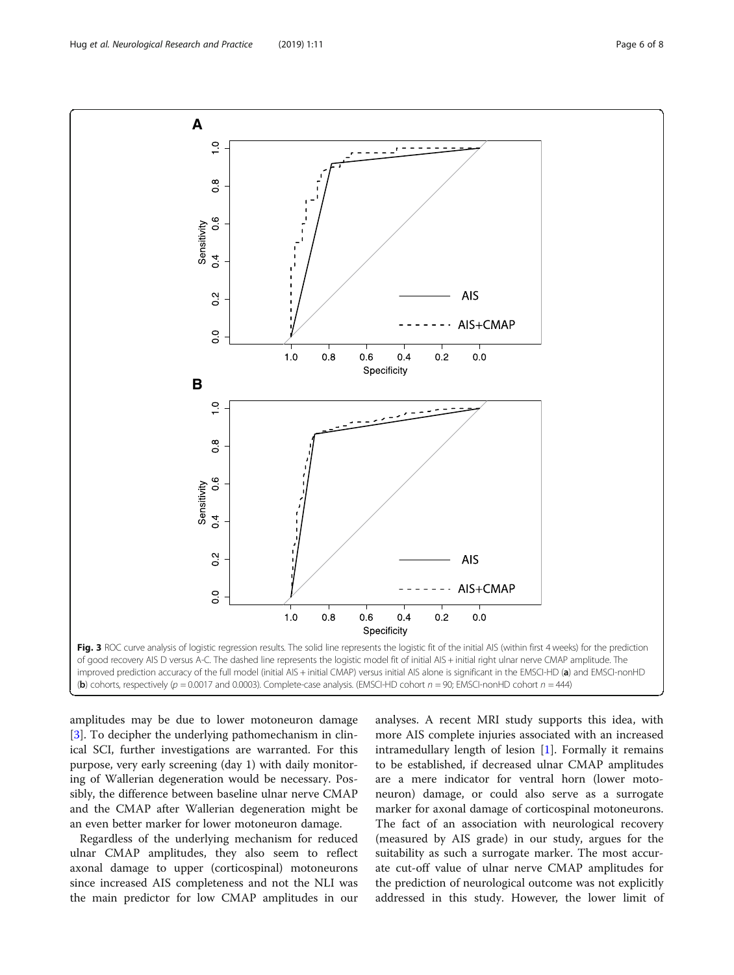<span id="page-5-0"></span>

amplitudes may be due to lower motoneuron damage [[3\]](#page-7-0). To decipher the underlying pathomechanism in clinical SCI, further investigations are warranted. For this purpose, very early screening (day 1) with daily monitoring of Wallerian degeneration would be necessary. Possibly, the difference between baseline ulnar nerve CMAP and the CMAP after Wallerian degeneration might be an even better marker for lower motoneuron damage.

Regardless of the underlying mechanism for reduced ulnar CMAP amplitudes, they also seem to reflect axonal damage to upper (corticospinal) motoneurons since increased AIS completeness and not the NLI was the main predictor for low CMAP amplitudes in our

analyses. A recent MRI study supports this idea, with more AIS complete injuries associated with an increased intramedullary length of lesion [[1\]](#page-6-0). Formally it remains to be established, if decreased ulnar CMAP amplitudes are a mere indicator for ventral horn (lower motoneuron) damage, or could also serve as a surrogate marker for axonal damage of corticospinal motoneurons. The fact of an association with neurological recovery (measured by AIS grade) in our study, argues for the suitability as such a surrogate marker. The most accurate cut-off value of ulnar nerve CMAP amplitudes for the prediction of neurological outcome was not explicitly addressed in this study. However, the lower limit of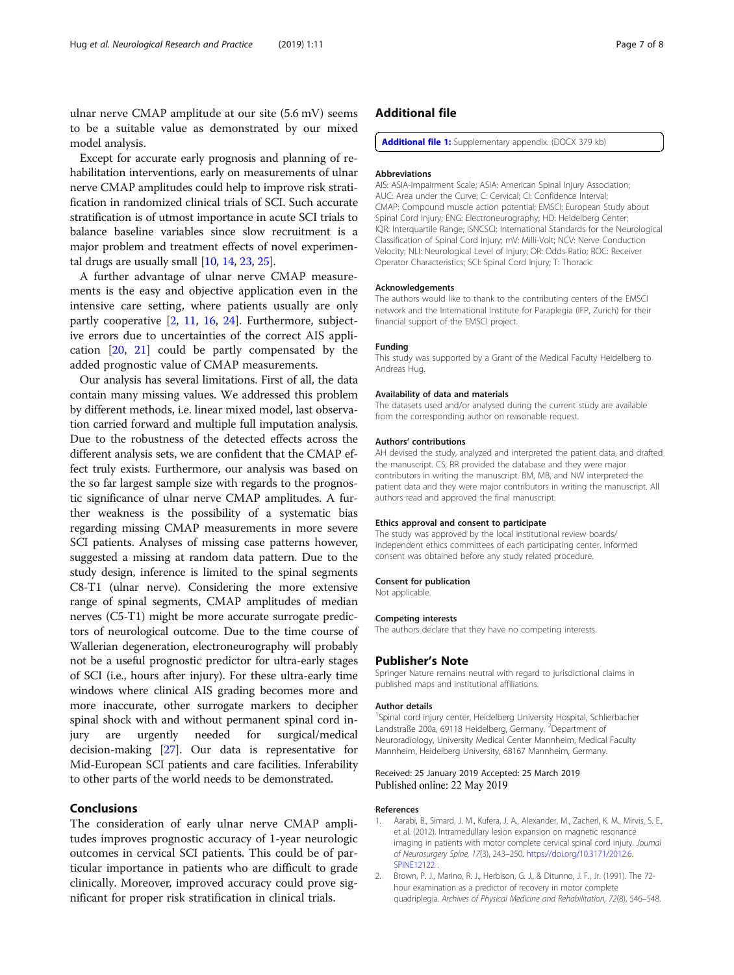<span id="page-6-0"></span>ulnar nerve CMAP amplitude at our site (5.6 mV) seems to be a suitable value as demonstrated by our mixed model analysis.

Except for accurate early prognosis and planning of rehabilitation interventions, early on measurements of ulnar nerve CMAP amplitudes could help to improve risk stratification in randomized clinical trials of SCI. Such accurate stratification is of utmost importance in acute SCI trials to balance baseline variables since slow recruitment is a major problem and treatment effects of novel experimental drugs are usually small [\[10,](#page-7-0) [14](#page-7-0), [23](#page-7-0), [25\]](#page-7-0).

A further advantage of ulnar nerve CMAP measurements is the easy and objective application even in the intensive care setting, where patients usually are only partly cooperative [2, [11](#page-7-0), [16](#page-7-0), [24\]](#page-7-0). Furthermore, subjective errors due to uncertainties of the correct AIS application [\[20,](#page-7-0) [21\]](#page-7-0) could be partly compensated by the added prognostic value of CMAP measurements.

Our analysis has several limitations. First of all, the data contain many missing values. We addressed this problem by different methods, i.e. linear mixed model, last observation carried forward and multiple full imputation analysis. Due to the robustness of the detected effects across the different analysis sets, we are confident that the CMAP effect truly exists. Furthermore, our analysis was based on the so far largest sample size with regards to the prognostic significance of ulnar nerve CMAP amplitudes. A further weakness is the possibility of a systematic bias regarding missing CMAP measurements in more severe SCI patients. Analyses of missing case patterns however, suggested a missing at random data pattern. Due to the study design, inference is limited to the spinal segments C8-T1 (ulnar nerve). Considering the more extensive range of spinal segments, CMAP amplitudes of median nerves (C5-T1) might be more accurate surrogate predictors of neurological outcome. Due to the time course of Wallerian degeneration, electroneurography will probably not be a useful prognostic predictor for ultra-early stages of SCI (i.e., hours after injury). For these ultra-early time windows where clinical AIS grading becomes more and more inaccurate, other surrogate markers to decipher spinal shock with and without permanent spinal cord injury are urgently needed for surgical/medical decision-making [[27\]](#page-7-0). Our data is representative for Mid-European SCI patients and care facilities. Inferability to other parts of the world needs to be demonstrated.

# Conclusions

The consideration of early ulnar nerve CMAP amplitudes improves prognostic accuracy of 1-year neurologic outcomes in cervical SCI patients. This could be of particular importance in patients who are difficult to grade clinically. Moreover, improved accuracy could prove significant for proper risk stratification in clinical trials.

# Additional file

[Additional file 1:](https://doi.org/10.1186/s42466-019-0017-1) Supplementary appendix. (DOCX 379 kb)

#### **Abbreviations**

AIS: ASIA-Impairment Scale; ASIA: American Spinal Injury Association; AUC: Area under the Curve; C: Cervical; CI: Confidence Interval; CMAP: Compound muscle action potential; EMSCI: European Study about Spinal Cord Injury; ENG: Electroneurography; HD: Heidelberg Center; IQR: Interquartile Range; ISNCSCI: International Standards for the Neurological Classification of Spinal Cord Injury; mV: Milli-Volt; NCV: Nerve Conduction Velocity; NLI: Neurological Level of Injury; OR: Odds Ratio; ROC: Receiver Operator Characteristics; SCI: Spinal Cord Injury; T: Thoracic

#### Acknowledgements

The authors would like to thank to the contributing centers of the EMSCI network and the International Institute for Paraplegia (IFP, Zurich) for their financial support of the EMSCI project.

#### Funding

This study was supported by a Grant of the Medical Faculty Heidelberg to Andreas Hug.

#### Availability of data and materials

The datasets used and/or analysed during the current study are available from the corresponding author on reasonable request.

#### Authors' contributions

AH devised the study, analyzed and interpreted the patient data, and drafted the manuscript. CS, RR provided the database and they were major contributors in writing the manuscript. BM, MB, and NW interpreted the patient data and they were major contributors in writing the manuscript. All authors read and approved the final manuscript.

#### Ethics approval and consent to participate

The study was approved by the local institutional review boards/ independent ethics committees of each participating center. Informed consent was obtained before any study related procedure.

#### Consent for publication

Not applicable.

#### Competing interests

The authors declare that they have no competing interests.

#### Publisher's Note

Springer Nature remains neutral with regard to jurisdictional claims in published maps and institutional affiliations.

#### Author details

<sup>1</sup>Spinal cord injury center, Heidelberg University Hospital, Schlierbacher Landstraße 200a, 69118 Heidelberg, Germany. <sup>2</sup>Department of Neuroradiology, University Medical Center Mannheim, Medical Faculty Mannheim, Heidelberg University, 68167 Mannheim, Germany.

#### Received: 25 January 2019 Accepted: 25 March 2019 Published online: 22 May 2019

#### References

- Aarabi, B., Simard, J. M., Kufera, J. A., Alexander, M., Zacherl, K. M., Mirvis, S. E., et al. (2012). Intramedullary lesion expansion on magnetic resonance imaging in patients with motor complete cervical spinal cord injury. Journal of Neurosurgery Spine, 17(3), 243–250. [https://doi.org/10.3171/2012.6.](https://doi.org/10.3171/2012.6.SPINE12122) [SPINE12122](https://doi.org/10.3171/2012.6.SPINE12122)
- 2. Brown, P. J., Marino, R. J., Herbison, G. J., & Ditunno, J. F., Jr. (1991). The 72 hour examination as a predictor of recovery in motor complete quadriplegia. Archives of Physical Medicine and Rehabilitation, 72(8), 546–548.